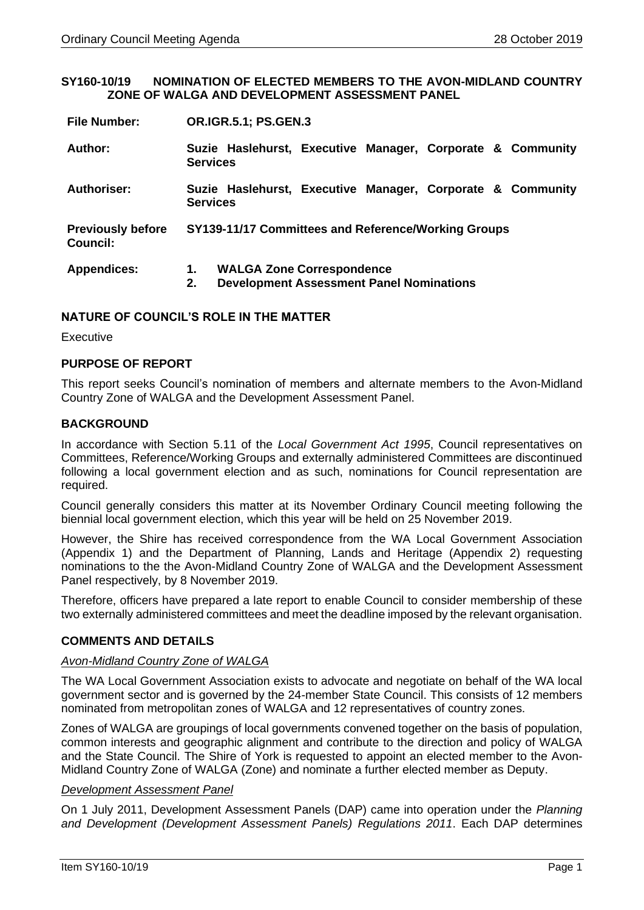#### **SY160-10/19 NOMINATION OF ELECTED MEMBERS TO THE AVON-MIDLAND COUNTRY ZONE OF WALGA AND DEVELOPMENT ASSESSMENT PANEL**

| Author:                              | <b>Services</b>                                     | Suzie Haslehurst, Executive Manager, Corporate & Community                          |  |  |  |  |  |
|--------------------------------------|-----------------------------------------------------|-------------------------------------------------------------------------------------|--|--|--|--|--|
| <b>Authoriser:</b>                   | <b>Services</b>                                     | Suzie Haslehurst, Executive Manager, Corporate & Community                          |  |  |  |  |  |
| <b>Previously before</b><br>Council: | SY139-11/17 Committees and Reference/Working Groups |                                                                                     |  |  |  |  |  |
| <b>Appendices:</b>                   | 1.<br>2.                                            | <b>WALGA Zone Correspondence</b><br><b>Development Assessment Panel Nominations</b> |  |  |  |  |  |

## **NATURE OF COUNCIL'S ROLE IN THE MATTER**

Executive

## **PURPOSE OF REPORT**

This report seeks Council's nomination of members and alternate members to the Avon-Midland Country Zone of WALGA and the Development Assessment Panel.

# **BACKGROUND**

In accordance with Section 5.11 of the *Local Government Act 1995*, Council representatives on Committees, Reference/Working Groups and externally administered Committees are discontinued following a local government election and as such, nominations for Council representation are required.

Council generally considers this matter at its November Ordinary Council meeting following the biennial local government election, which this year will be held on 25 November 2019.

However, the Shire has received correspondence from the WA Local Government Association (Appendix 1) and the Department of Planning, Lands and Heritage (Appendix 2) requesting nominations to the the Avon-Midland Country Zone of WALGA and the Development Assessment Panel respectively, by 8 November 2019.

Therefore, officers have prepared a late report to enable Council to consider membership of these two externally administered committees and meet the deadline imposed by the relevant organisation.

## **COMMENTS AND DETAILS**

#### *Avon-Midland Country Zone of WALGA*

The WA Local Government Association exists to advocate and negotiate on behalf of the WA local government sector and is governed by the 24-member State Council. This consists of 12 members nominated from metropolitan zones of WALGA and 12 representatives of country zones.

Zones of WALGA are groupings of local governments convened together on the basis of population, common interests and geographic alignment and contribute to the direction and policy of WALGA and the State Council. The Shire of York is requested to appoint an elected member to the Avon-Midland Country Zone of WALGA (Zone) and nominate a further elected member as Deputy.

#### *Development Assessment Panel*

On 1 July 2011, Development Assessment Panels (DAP) came into operation under the *Planning and Development (Development Assessment Panels) Regulations 2011*. Each DAP determines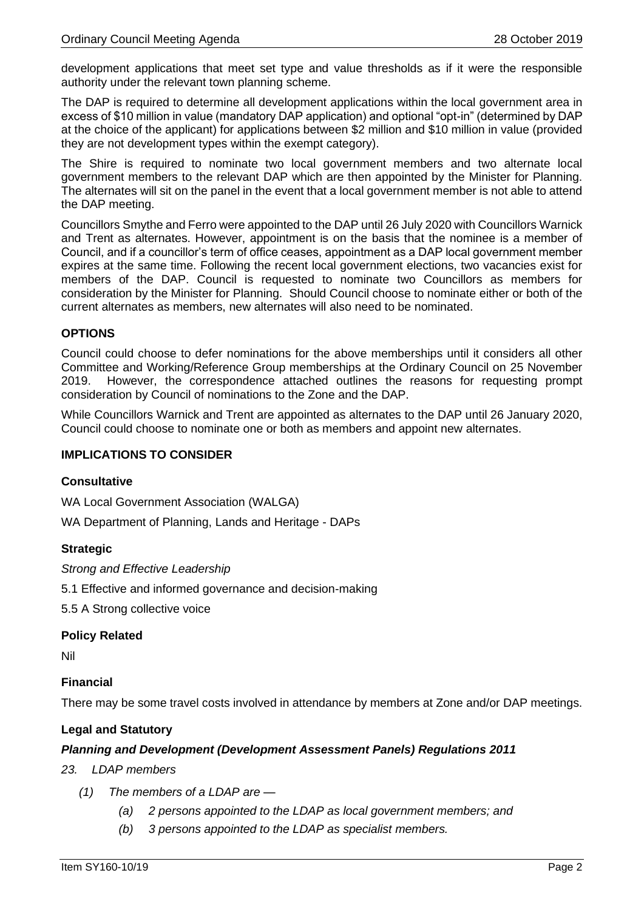development applications that meet set type and value thresholds as if it were the responsible authority under the relevant town planning scheme.

The DAP is required to determine all development applications within the local government area in excess of \$10 million in value (mandatory DAP application) and optional "opt-in" (determined by DAP at the choice of the applicant) for applications between \$2 million and \$10 million in value (provided they are not development types within the exempt category).

The Shire is required to nominate two local government members and two alternate local government members to the relevant DAP which are then appointed by the Minister for Planning. The alternates will sit on the panel in the event that a local government member is not able to attend the DAP meeting.

Councillors Smythe and Ferro were appointed to the DAP until 26 July 2020 with Councillors Warnick and Trent as alternates. However, appointment is on the basis that the nominee is a member of Council, and if a councillor's term of office ceases, appointment as a DAP local government member expires at the same time. Following the recent local government elections, two vacancies exist for members of the DAP. Council is requested to nominate two Councillors as members for consideration by the Minister for Planning. Should Council choose to nominate either or both of the current alternates as members, new alternates will also need to be nominated.

# **OPTIONS**

Council could choose to defer nominations for the above memberships until it considers all other Committee and Working/Reference Group memberships at the Ordinary Council on 25 November 2019. However, the correspondence attached outlines the reasons for requesting prompt consideration by Council of nominations to the Zone and the DAP.

While Councillors Warnick and Trent are appointed as alternates to the DAP until 26 January 2020, Council could choose to nominate one or both as members and appoint new alternates.

## **IMPLICATIONS TO CONSIDER**

## **Consultative**

WA Local Government Association (WALGA)

WA Department of Planning, Lands and Heritage - DAPs

## **Strategic**

*Strong and Effective Leadership* 

5.1 Effective and informed governance and decision-making

5.5 A Strong collective voice

## **Policy Related**

Nil

## **Financial**

There may be some travel costs involved in attendance by members at Zone and/or DAP meetings.

## **Legal and Statutory**

## *Planning and Development (Development Assessment Panels) Regulations 2011*

#### *23. LDAP members*

- *(1) The members of a LDAP are —*
	- *(a) 2 persons appointed to the LDAP as local government members; and*
	- *(b) 3 persons appointed to the LDAP as specialist members.*